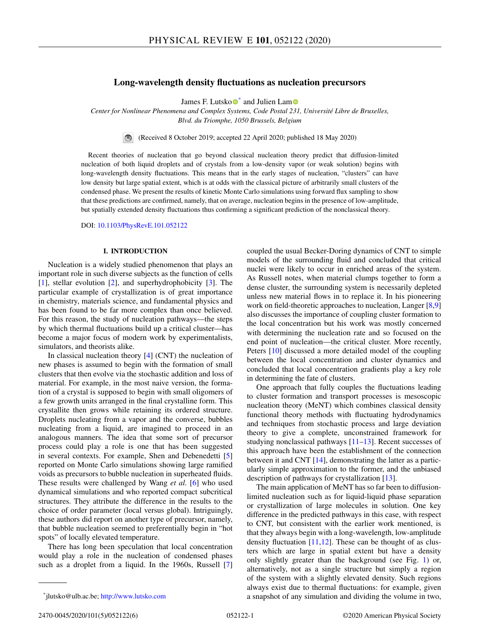# **Long-wavelength density fluctuations as nucleation precursors**

Ja[m](https://orcid.org/0000-0003-0343-6005)es F. Lutsko $\bullet^*$  $\bullet^*$  and Julien Lam $\bullet$ 

*Center for Nonlinear Phenomena and Complex Systems, Code Postal 231, Université Libre de Bruxelles, Blvd. du Triomphe, 1050 Brussels, Belgium*

> (Received 8 October 2019; accepted 22 April 2020; published 18 May 2020) n

Recent theories of nucleation that go beyond classical nucleation theory predict that diffusion-limited nucleation of both liquid droplets and of crystals from a low-density vapor (or weak solution) begins with long-wavelength density fluctuations. This means that in the early stages of nucleation, "clusters" can have low density but large spatial extent, which is at odds with the classical picture of arbitrarily small clusters of the condensed phase. We present the results of kinetic Monte Carlo simulations using forward flux sampling to show that these predictions are confirmed, namely, that on average, nucleation begins in the presence of low-amplitude, but spatially extended density fluctuations thus confirming a significant prediction of the nonclassical theory.

DOI: [10.1103/PhysRevE.101.052122](https://doi.org/10.1103/PhysRevE.101.052122)

## **I. INTRODUCTION**

Nucleation is a widely studied phenomenon that plays an important role in such diverse subjects as the function of cells [\[1\]](#page-5-0), stellar evolution [\[2\]](#page-5-0), and superhydrophobicity [\[3\]](#page-5-0). The particular example of crystallization is of great importance in chemistry, materials science, and fundamental physics and has been found to be far more complex than once believed. For this reason, the study of nucleation pathways—the steps by which thermal fluctuations build up a critical cluster—has become a major focus of modern work by experimentalists, simulators, and theorists alike.

In classical nucleation theory [\[4\]](#page-5-0) (CNT) the nucleation of new phases is assumed to begin with the formation of small clusters that then evolve via the stochastic addition and loss of material. For example, in the most naive version, the formation of a crystal is supposed to begin with small oligomers of a few growth units arranged in the final crystalline form. This crystallite then grows while retaining its ordered structure. Droplets nucleating from a vapor and the converse, bubbles nucleating from a liquid, are imagined to proceed in an analogous manners. The idea that some sort of precursor process could play a role is one that has been suggested in several contexts. For example, Shen and Debenedetti [\[5\]](#page-5-0) reported on Monte Carlo simulations showing large ramified voids as precursors to bubble nucleation in superheated fluids. These results were challenged by Wang *et al.* [\[6\]](#page-5-0) who used dynamical simulations and who reported compact subcritical structures. They attribute the difference in the results to the choice of order parameter (local versus global). Intriguingly, these authors did report on another type of precursor, namely, that bubble nucleation seemed to preferentially begin in "hot spots" of locally elevated temperature.

There has long been speculation that local concentration would play a role in the nucleation of condensed phases such as a droplet from a liquid. In the 1960s, Russell [\[7\]](#page-5-0) coupled the usual Becker-Doring dynamics of CNT to simple models of the surrounding fluid and concluded that critical nuclei were likely to occur in enriched areas of the system. As Russell notes, when material clumps together to form a dense cluster, the surrounding system is necessarily depleted unless new material flows in to replace it. In his pioneering work on field-theoretic approaches to nucleation, Langer [\[8,9\]](#page-5-0) also discusses the importance of coupling cluster formation to the local concentration but his work was mostly concerned with determining the nucleation rate and so focused on the end point of nucleation—the critical cluster. More recently, Peters [\[10\]](#page-5-0) discussed a more detailed model of the coupling between the local concentration and cluster dynamics and concluded that local concentration gradients play a key role in determining the fate of clusters.

One approach that fully couples the fluctuations leading to cluster formation and transport processes is mesoscopic nucleation theory (MeNT) which combines classical density functional theory methods with fluctuating hydrodynamics and techniques from stochastic process and large deviation theory to give a complete, unconstrained framework for studying nonclassical pathways [\[11–13\]](#page-5-0). Recent successes of this approach have been the establishment of the connection between it and CNT [\[14\]](#page-5-0), demonstrating the latter as a particularly simple approximation to the former, and the unbiased description of pathways for crystallization [\[13\]](#page-5-0).

The main application of MeNT has so far been to diffusionlimited nucleation such as for liquid-liquid phase separation or crystallization of large molecules in solution. One key difference in the predicted pathways in this case, with respect to CNT, but consistent with the earlier work mentioned, is that they always begin with a long-wavelength, low-amplitude density fluctuation  $[11,12]$ . These can be thought of as clusters which are large in spatial extent but have a density only slightly greater than the background (see Fig. [1\)](#page-1-0) or, alternatively, not as a single structure but simply a region of the system with a slightly elevated density. Such regions always exist due to thermal fluctuations: for example, given a snapshot of any simulation and dividing the volume in two,

<sup>\*</sup>jlutsko@ulb.ac.be; <http://www.lutsko.com>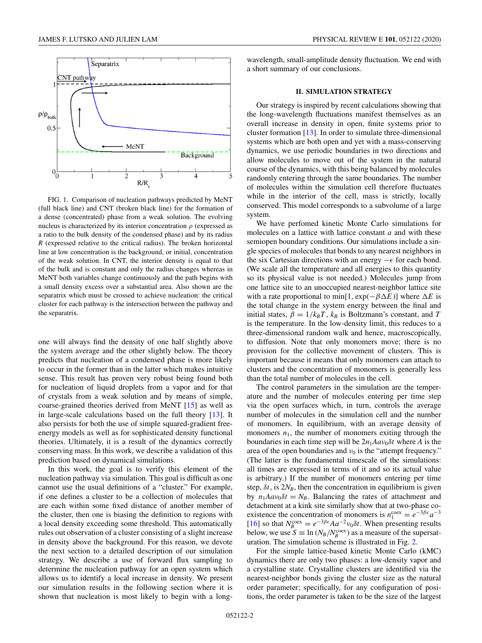<span id="page-1-0"></span>

FIG. 1. Comparison of nucleation pathways predicted by MeNT (full black line) and CNT (broken black line) for the formation of a dense (concentrated) phase from a weak solution. The evolving nucleus is characterized by its interior concentration  $\rho$  (expressed as a ratio to the bulk density of the condensed phase) and by its radius *R* (expressed relative to the critical radius). The broken horizontal line at low concentration is the background, or initial, concentration of the weak solution. In CNT, the interior density is equal to that of the bulk and is constant and only the radius changes whereas in MeNT both variables change continuously and the path begins with a small density excess over a substantial area. Also shown are the separatrix which must be crossed to achieve nucleation: the critical cluster for each pathway is the intersection between the pathway and the separatrix.

one will always find the density of one half slightly above the system average and the other slightly below. The theory predicts that nucleation of a condensed phase is more likely to occur in the former than in the latter which makes intuitive sense. This result has proven very robust being found both for nucleation of liquid droplets from a vapor and for that of crystals from a weak solution and by means of simple, coarse-grained theories derived from MeNT [\[15\]](#page-5-0) as well as in large-scale calculations based on the full theory [\[13\]](#page-5-0). It also persists for both the use of simple squared-gradient freeenergy models as well as for sophisticated density functional theories. Ultimately, it is a result of the dynamics correctly conserving mass. In this work, we describe a validation of this prediction based on dynamical simulations.

In this work, the goal is to verify this element of the nucleation pathway via simulation. This goal is difficult as one cannot use the usual definitions of a "cluster." For example, if one defines a cluster to be a collection of molecules that are each within some fixed distance of another member of the cluster, then one is biasing the definition to regions with a local density exceeding some threshold. This automatically rules out observation of a cluster consisting of a slight increase in density above the background. For this reason, we devote the next section to a detailed description of our simulation strategy. We describe a use of forward flux sampling to determine the nucleation pathway for an open system which allows us to identify a local increase in density. We present our simulation results in the following section where it is shown that nucleation is most likely to begin with a longwavelength, small-amplitude density fluctuation. We end with a short summary of our conclusions.

#### **II. SIMULATION STRATEGY**

Our strategy is inspired by recent calculations showing that the long-wavelength fluctuations manifest themselves as an overall increase in density in open, finite systems prior to cluster formation  $[13]$ . In order to simulate three-dimensional systems which are both open and yet with a mass-conserving dynamics, we use periodic boundaries in two directions and allow molecules to move out of the system in the natural course of the dynamics, with this being balanced by molecules randomly entering through the same boundaries. The number of molecules within the simulation cell therefore fluctuates while in the interior of the cell, mass is strictly, locally conserved. This model corresponds to a subvolume of a large system.

We have perfomed kinetic Monte Carlo simulations for molecules on a lattice with lattice constant *a* and with these semiopen boundary conditions. Our simulations include a single species of molecules that bonds to any nearest neighbors in the six Cartesian directions with an energy  $-\epsilon$  for each bond. (We scale all the temperature and all energies to this quantity so its physical value is not needed.) Molecules jump from one lattice site to an unoccupied nearest-neighbor lattice site with a rate proportional to min[1,  $exp(-\beta \Delta E)$ ] where  $\Delta E$  is the total change in the system energy between the final and initial states,  $\beta = 1/k_B T$ ,  $k_B$  is Boltzmann's constant, and *T* is the temperature. In the low-density limit, this reduces to a three-dimensional random walk and hence, macroscopically, to diffusion. Note that only monomers move; there is no provision for the collective movement of clusters. This is important because it means that only monomers can attach to clusters and the concentration of monomers is generally less than the total number of molecules in the cell.

The control parameters in the simulation are the temperature and the number of molecules entering per time step via the open surfaces which, in turn, controls the average number of molecules in the simulation cell and the number of monomers. In equilibrium, with an average density of monomers  $n_1$ , the number of monomers exiting through the boundaries in each time step will be  $2n_1Aa\nu_0\delta t$  where *A* is the area of the open boundaries and  $v_0$  is the "attempt frequency." (The latter is the fundamental timescale of the simulations: all times are expressed in terms of it and so its actual value is arbitrary.) If the number of monomers entering per time step,  $\delta t$ , is  $2N_B$ , then the concentration in equilibrium is given by  $n_1 A a v_0 \delta t = N_B$ . Balancing the rates of attachment and detachment at a kink site similarly show that at two-phase coexistence the concentration of monomers is  $n_1^{\text{coex}} = e^{-3\beta \epsilon} a^{-3}$  $[16]$  so that  $N_B^{\text{coex}} = e^{-3\beta \epsilon} A a^{-2} v_0 \delta t$ . When presenting results below, we use  $S \equiv \ln (N_B/N_B^{\text{coex}})$  as a measure of the supersaturation. The simulation scheme is illustrated in Fig. [2.](#page-2-0)

For the simple lattice-based kinetic Monte Carlo (kMC) dynamics there are only two phases: a low-density vapor and a crystalline state. Crystalline clusters are identified via the nearest-neighbor bonds giving the cluster size as the natural order parameter; specifically, for any configuration of positions, the order parameter is taken to be the size of the largest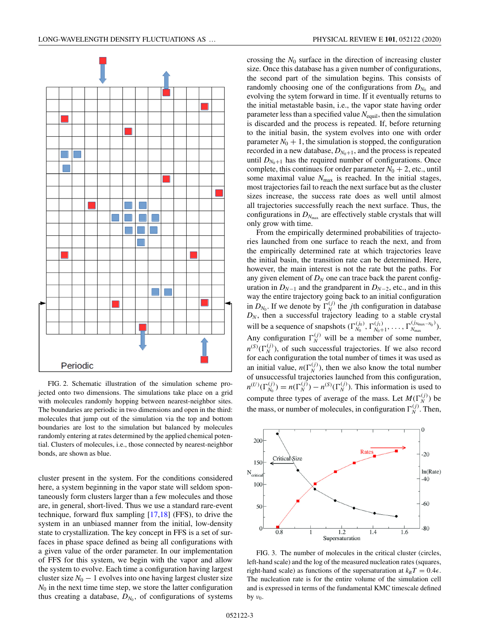<span id="page-2-0"></span>

FIG. 2. Schematic illustration of the simulation scheme projected onto two dimensions. The simulations take place on a grid with molecules randomly hopping between nearest-neighbor sites. The boundaries are periodic in two dimensions and open in the third: molecules that jump out of the simulation via the top and bottom boundaries are lost to the simulation but balanced by molecules randomly entering at rates determined by the applied chemical potential. Clusters of molecules, i.e., those connected by nearest-neighbor bonds, are shown as blue.

cluster present in the system. For the conditions considered here, a system beginning in the vapor state will seldom spontaneously form clusters larger than a few molecules and those are, in general, short-lived. Thus we use a standard rare-event technique, forward flux sampling [\[17,18\]](#page-5-0) (FFS), to drive the system in an unbiased manner from the initial, low-density state to crystallization. The key concept in FFS is a set of surfaces in phase space defined as being all configurations with a given value of the order parameter. In our implementation of FFS for this system, we begin with the vapor and allow the system to evolve. Each time a configuration having largest cluster size  $N_0 - 1$  evolves into one having largest cluster size  $N_0$  in the next time time step, we store the latter configuration thus creating a database,  $D_{N_0}$ , of configurations of systems

crossing the  $N_0$  surface in the direction of increasing cluster size. Once this database has a given number of configurations, the second part of the simulation begins. This consists of randomly choosing one of the configurations from  $D_{N_0}$  and evolving the sytem forward in time. If it eventually returns to the initial metastable basin, i.e., the vapor state having order parameter less than a specified value *N*equil, then the simulation is discarded and the process is repeated. If, before returning to the initial basin, the system evolves into one with order parameter  $N_0 + 1$ , the simulation is stopped, the configuration recorded in a new database,  $D_{N_0+1}$ , and the process is repeated until  $D_{N_0+1}$  has the required number of configurations. Once complete, this continues for order parameter  $N_0 + 2$ , etc., until some maximal value  $N_{\text{max}}$  is reached. In the initial stages, most trajectories fail to reach the next surface but as the cluster sizes increase, the success rate does as well until almost all trajectories successfully reach the next surface. Thus, the configurations in  $D_{N_{\text{max}}}$  are effectively stable crystals that will only grow with time.

From the empirically determined probabilities of trajectories launched from one surface to reach the next, and from the empirically determined rate at which trajectories leave the initial basin, the transition rate can be determined. Here, however, the main interest is not the rate but the paths. For any given element of  $D<sub>N</sub>$  one can trace back the parent configuration in  $D_{N-1}$  and the grandparent in  $D_{N-2}$ , etc., and in this way the entire trajectory going back to an initial configuration in  $D_{N_0}$ . If we denote by  $\Gamma_N^{(j)}$  the *j*th configuration in database  $D_N$ , then a successful trajectory leading to a stable crystal will be a sequence of snapshots  $(\Gamma_{N_0}^{(j_0)}, \Gamma_{N_0+1}^{(j_1)}, \ldots, \Gamma_{N_{\text{max}}}^{(j_{N_{\text{max}}-N_0})})$ . Any configuration  $\Gamma_N^{(j)}$  will be a member of some number,  $n^{(S)}(\Gamma_N^{(j)})$ , of such successful trajectories. If we also record for each configuration the total number of times it was used as an initial value,  $n(\Gamma_N^{(j)})$ , then we also know the total number of unsuccessful trajectories launched from this configuration,  $n^{(U)}(\Gamma_{N_0}^{(j)}) = n(\Gamma_N^{(j)}) - n^{(S)}(\Gamma_N^{(j)})$ . This information is used to compute three types of average of the mass. Let  $M(\Gamma_N^{(j)})$  be the mass, or number of molecules, in configuration  $\Gamma_N^{(j)}$ . Then,



FIG. 3. The number of molecules in the critical cluster (circles, left-hand scale) and the log of the measured nucleation rates (squares, right-hand scale) as functions of the supersaturation at  $k_B T = 0.4\epsilon$ . The nucleation rate is for the entire volume of the simulation cell and is expressed in terms of the fundamental KMC timescale defined by  $v_0$ .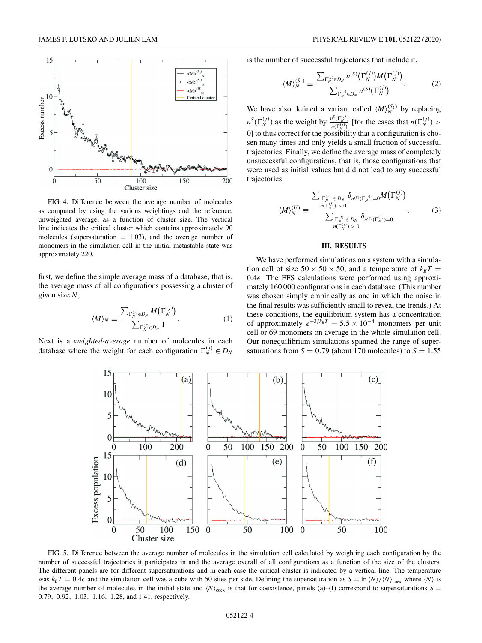<span id="page-3-0"></span>

FIG. 4. Difference between the average number of molecules as computed by using the various weightings and the reference, unweighted average, as a function of cluster size. The vertical line indicates the critical cluster which contains approximately 90 molecules (supersaturation  $= 1.03$ ), and the average number of monomers in the simulation cell in the initial metastable state was approximately 220.

first, we define the simple average mass of a database, that is, the average mass of all configurations possessing a cluster of given size *N*,

$$
\langle M \rangle_N \equiv \frac{\sum_{\Gamma_N^{(j)} \in D_N} M(\Gamma_N^{(j)})}{\sum_{\Gamma_N^{(j)} \in D_N} 1}.
$$
 (1)

Next is a *weighted-average* number of molecules in each database where the weight for each configuration  $\Gamma_N^{(j)} \in D_N$ 

is the number of successful trajectories that include it,

$$
\langle M \rangle_N^{(S_1)} \equiv \frac{\sum_{\Gamma_N^{(j)} \in D_N} n^{(S)} (\Gamma_N^{(j)}) M(\Gamma_N^{(j)})}{\sum_{\Gamma_N^{(j)} \in D_N} n^{(S)} (\Gamma_N^{(j)})}.
$$
 (2)

We have also defined a variant called  $\langle M \rangle_N^{(S_2)}$  by replacing  $n^S(\Gamma_N^{(j)})$  as the weight by  $\frac{n^S(\Gamma_N^{(j)})}{n(\Gamma_N^{(j)})}$  $\frac{n^3(\Gamma_N^{(j)})}{n(\Gamma_N^{(j)})}$  [for the cases that  $n(\Gamma_N^{(j)})$  > 0] to thus correct for the possibility that a configuration is chosen many times and only yields a small fraction of successful trajectories. Finally, we define the average mass of completely unsuccessful configurations, that is, those configurations that were used as initial values but did not lead to any successful trajectories:

$$
\langle M \rangle_N^{(U)} \equiv \frac{\sum_{\Gamma_N^{(j)} \in D_N} \delta_{n^{(S)}(\Gamma_N^{(j)})=0} M(\Gamma_N^{(j)})}{\sum_{\Gamma_N^{(j)} \in D_N} \delta_{n^{(S)}(\Gamma_N^{(j)})=0}}.
$$
(3)

## **III. RESULTS**

We have performed simulations on a system with a simulation cell of size  $50 \times 50 \times 50$ , and a temperature of  $k_B T =$  $0.4\epsilon$ . The FFS calculations were performed using approximately 160 000 configurations in each database. (This number was chosen simply empirically as one in which the noise in the final results was sufficiently small to reveal the trends.) At these conditions, the equilibrium system has a concentration of approximately  $e^{-3/k_BT} = 5.5 \times 10^{-4}$  monomers per unit cell or 69 monomers on average in the whole simulation cell. Our nonequilibrium simulations spanned the range of supersaturations from  $S = 0.79$  (about 170 molecules) to  $S = 1.55$ 



FIG. 5. Difference between the average number of molecules in the simulation cell calculated by weighting each configuration by the number of successful trajectories it participates in and the average overall of all configurations as a function of the size of the clusters. The different panels are for different supersaturations and in each case the critical cluster is indicated by a vertical line. The temperature was  $k_B T = 0.4\epsilon$  and the simulation cell was a cube with 50 sites per side. Defining the supersaturation as  $S = \ln \langle N \rangle / \langle N \rangle_{\text{coex}}$  where  $\langle N \rangle$  is the average number of molecules in the initial state and  $\langle N \rangle_{\text{coex}}$  is that for coexistence, panels (a)–(f) correspond to supersaturations  $S =$ 0.79, 0.92, 1.03, 1.16, 1.28, and 1.41, respectively.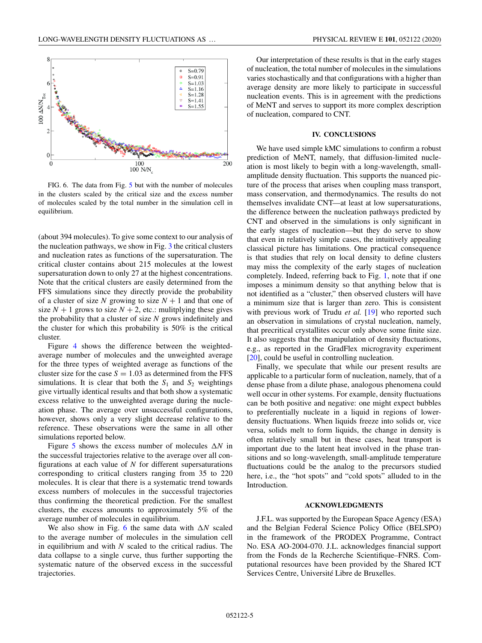

FIG. 6. The data from Fig. [5](#page-3-0) but with the number of molecules in the clusters scaled by the critical size and the excess number of molecules scaled by the total number in the simulation cell in equilibrium.

(about 394 molecules). To give some context to our analysis of the nucleation pathways, we show in Fig. [3](#page-2-0) the critical clusters and nucleation rates as functions of the supersaturation. The critical cluster contains about 215 molecules at the lowest supersaturation down to only 27 at the highest concentrations. Note that the critical clusters are easily determined from the FFS simulations since they directly provide the probability of a cluster of size  $N$  growing to size  $N + 1$  and that one of size  $N + 1$  grows to size  $N + 2$ , etc.: mulitplying these gives the probability that a cluster of size *N* grows indefinitely and the cluster for which this probability is 50% is the critical cluster.

Figure [4](#page-3-0) shows the difference between the weightedaverage number of molecules and the unweighted average for the three types of weighted average as functions of the cluster size for the case  $S = 1.03$  as determined from the FFS simulations. It is clear that both the  $S_1$  and  $S_2$  weightings give virtually identical results and that both show a systematic excess relative to the unweighted average during the nucleation phase. The average over unsuccessful configurations, however, shows only a very slight decrease relative to the reference. These observations were the same in all other simulations reported below.

Figure [5](#page-3-0) shows the excess number of molecules  $\Delta N$  in the successful trajectories relative to the average over all configurations at each value of *N* for different supersaturations corresponding to critical clusters ranging from 35 to 220 molecules. It is clear that there is a systematic trend towards excess numbers of molecules in the successful trajectories thus confirming the theoretical prediction. For the smallest clusters, the excess amounts to approximately 5% of the average number of molecules in equilibrium.

We also show in Fig. 6 the same data with  $\Delta N$  scaled to the average number of molecules in the simulation cell in equilibrium and with *N* scaled to the critical radius. The data collapse to a single curve, thus further supporting the systematic nature of the observed excess in the successful trajectories.

Our interpretation of these results is that in the early stages of nucleation, the total number of molecules in the simulations varies stochastically and that configurations with a higher than average density are more likely to participate in successful nucleation events. This is in agreement with the predictions of MeNT and serves to support its more complex description of nucleation, compared to CNT.

### **IV. CONCLUSIONS**

We have used simple kMC simulations to confirm a robust prediction of MeNT, namely, that diffusion-limited nucleation is most likely to begin with a long-wavelength, smallamplitude density fluctuation. This supports the nuanced picture of the process that arises when coupling mass transport, mass conservation, and thermodynamics. The results do not themselves invalidate CNT—at least at low supersaturations, the difference between the nucleation pathways predicted by CNT and observed in the simulations is only significant in the early stages of nucleation—but they do serve to show that even in relatively simple cases, the intuitively appealing classical picture has limitations. One practical consequence is that studies that rely on local density to define clusters may miss the complexity of the early stages of nucleation completely. Indeed, referring back to Fig. [1,](#page-1-0) note that if one imposes a minimum density so that anything below that is not identified as a "cluster," then observed clusters will have a minimum size that is larger than zero. This is consistent with previous work of Trudu *et al.* [\[19\]](#page-5-0) who reported such an observation in simulations of crystal nucleation, namely, that precritical crystallites occur only above some finite size. It also suggests that the manipulation of density fluctuations, e.g., as reported in the GradFlex microgravity experiment [\[20\]](#page-5-0), could be useful in controlling nucleation.

Finally, we speculate that while our present results are applicable to a particular form of nucleation, namely, that of a dense phase from a dilute phase, analogous phenomena could well occur in other systems. For example, density fluctuations can be both positive and negative: one might expect bubbles to preferentially nucleate in a liquid in regions of lowerdensity fluctuations. When liquids freeze into solids or, vice versa, solids melt to form liquids, the change in density is often relatively small but in these cases, heat transport is important due to the latent heat involved in the phase transitions and so long-wavelength, small-amplitude temperature fluctuations could be the analog to the precursors studied here, i.e., the "hot spots" and "cold spots" alluded to in the Introduction.

#### **ACKNOWLEDGMENTS**

J.F.L. was supported by the European Space Agency (ESA) and the Belgian Federal Science Policy Office (BELSPO) in the framework of the PRODEX Programme, Contract No. ESA AO-2004-070. J.L. acknowledges financial support from the Fonds de la Recherche Scientifique–FNRS. Computational resources have been provided by the Shared ICT Services Centre, Université Libre de Bruxelles.